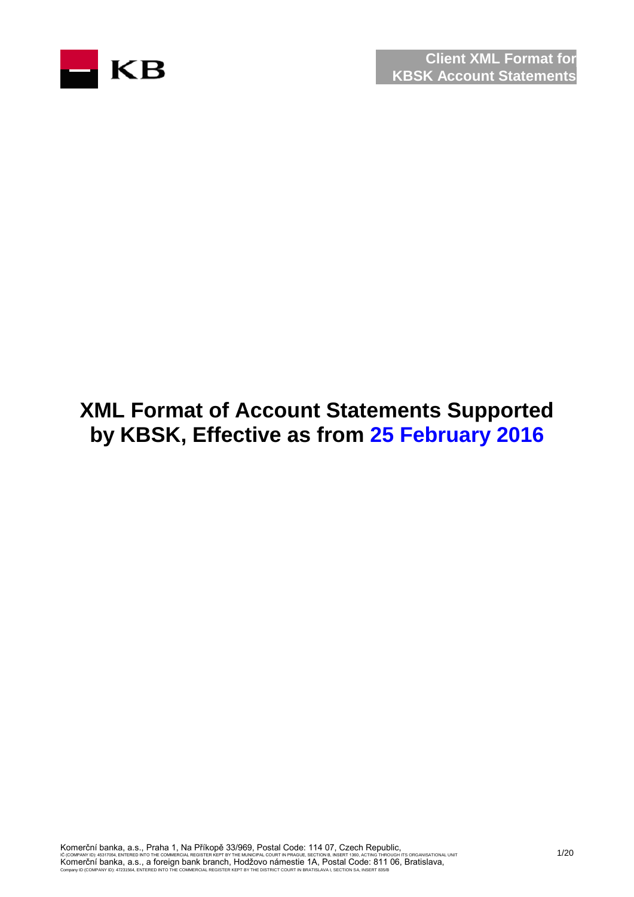

# **XML Format of Account Statements Supported by KBSK, Effective as from 25 February 2016**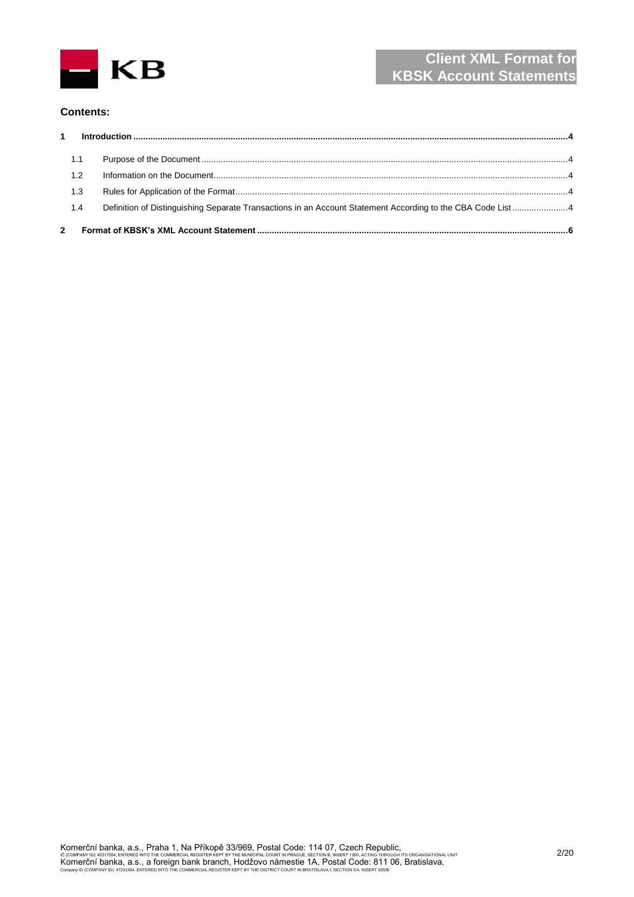

#### **Contents:**

| 1.1 |                                                                                                            |  |
|-----|------------------------------------------------------------------------------------------------------------|--|
| 1.2 |                                                                                                            |  |
| 1.3 |                                                                                                            |  |
| 1.4 | Definition of Distinguishing Separate Transactions in an Account Statement According to the CBA Code List4 |  |
|     |                                                                                                            |  |
|     |                                                                                                            |  |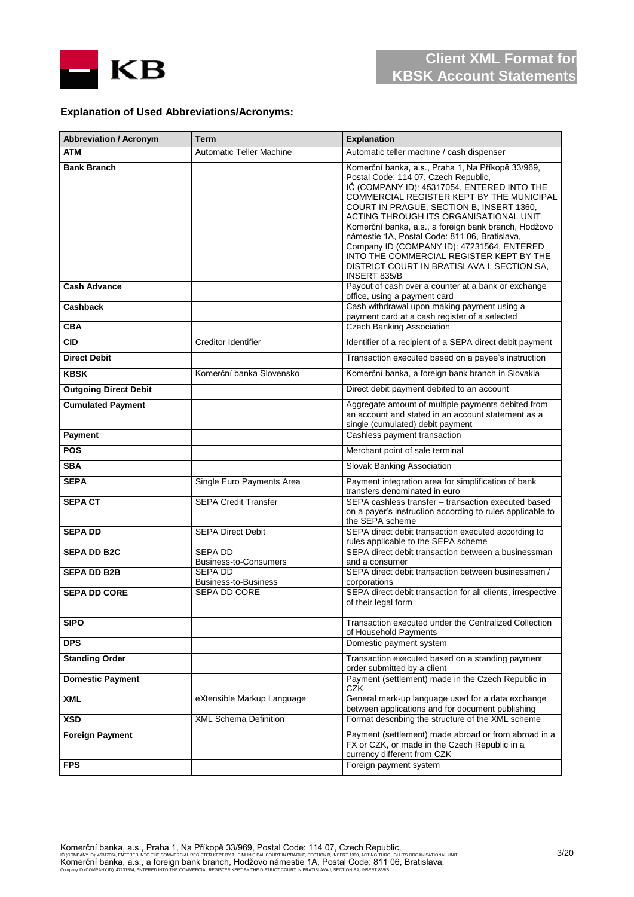

#### **Explanation of Used Abbreviations/Acronyms:**

| <b>Abbreviation / Acronym</b> | Term                                    | <b>Explanation</b>                                                                                                                                                                                                                                                                                                                                                                                                                                                                                                                            |
|-------------------------------|-----------------------------------------|-----------------------------------------------------------------------------------------------------------------------------------------------------------------------------------------------------------------------------------------------------------------------------------------------------------------------------------------------------------------------------------------------------------------------------------------------------------------------------------------------------------------------------------------------|
| <b>ATM</b>                    | <b>Automatic Teller Machine</b>         | Automatic teller machine / cash dispenser                                                                                                                                                                                                                                                                                                                                                                                                                                                                                                     |
| <b>Bank Branch</b>            |                                         | Komerční banka, a.s., Praha 1, Na Příkopě 33/969,<br>Postal Code: 114 07, Czech Republic,<br>IČ (COMPANY ID): 45317054, ENTERED INTO THE<br>COMMERCIAL REGISTER KEPT BY THE MUNICIPAL<br>COURT IN PRAGUE, SECTION B, INSERT 1360,<br>ACTING THROUGH ITS ORGANISATIONAL UNIT<br>Komerční banka, a.s., a foreign bank branch, Hodžovo<br>námestie 1A, Postal Code: 811 06, Bratislava,<br>Company ID (COMPANY ID): 47231564, ENTERED<br>INTO THE COMMERCIAL REGISTER KEPT BY THE<br>DISTRICT COURT IN BRATISLAVA I, SECTION SA,<br>INSERT 835/B |
| <b>Cash Advance</b>           |                                         | Payout of cash over a counter at a bank or exchange<br>office, using a payment card                                                                                                                                                                                                                                                                                                                                                                                                                                                           |
| <b>Cashback</b>               |                                         | Cash withdrawal upon making payment using a<br>payment card at a cash register of a selected                                                                                                                                                                                                                                                                                                                                                                                                                                                  |
| <b>CBA</b>                    |                                         | <b>Czech Banking Association</b>                                                                                                                                                                                                                                                                                                                                                                                                                                                                                                              |
| <b>CID</b>                    | Creditor Identifier                     | Identifier of a recipient of a SEPA direct debit payment                                                                                                                                                                                                                                                                                                                                                                                                                                                                                      |
| <b>Direct Debit</b>           |                                         | Transaction executed based on a payee's instruction                                                                                                                                                                                                                                                                                                                                                                                                                                                                                           |
| <b>KBSK</b>                   | Komerční banka Slovensko                | Komerční banka, a foreign bank branch in Slovakia                                                                                                                                                                                                                                                                                                                                                                                                                                                                                             |
| <b>Outgoing Direct Debit</b>  |                                         | Direct debit payment debited to an account                                                                                                                                                                                                                                                                                                                                                                                                                                                                                                    |
| <b>Cumulated Payment</b>      |                                         | Aggregate amount of multiple payments debited from<br>an account and stated in an account statement as a<br>single (cumulated) debit payment                                                                                                                                                                                                                                                                                                                                                                                                  |
| Payment                       |                                         | Cashless payment transaction                                                                                                                                                                                                                                                                                                                                                                                                                                                                                                                  |
| <b>POS</b>                    |                                         | Merchant point of sale terminal                                                                                                                                                                                                                                                                                                                                                                                                                                                                                                               |
| <b>SBA</b>                    |                                         | Slovak Banking Association                                                                                                                                                                                                                                                                                                                                                                                                                                                                                                                    |
| <b>SEPA</b>                   | Single Euro Payments Area               | Payment integration area for simplification of bank<br>transfers denominated in euro                                                                                                                                                                                                                                                                                                                                                                                                                                                          |
| <b>SEPACT</b>                 | <b>SEPA Credit Transfer</b>             | SEPA cashless transfer - transaction executed based<br>on a payer's instruction according to rules applicable to<br>the SEPA scheme                                                                                                                                                                                                                                                                                                                                                                                                           |
| <b>SEPA DD</b>                | <b>SEPA Direct Debit</b>                | SEPA direct debit transaction executed according to<br>rules applicable to the SEPA scheme                                                                                                                                                                                                                                                                                                                                                                                                                                                    |
| <b>SEPA DD B2C</b>            | SEPA DD<br><b>Business-to-Consumers</b> | SEPA direct debit transaction between a businessman<br>and a consumer                                                                                                                                                                                                                                                                                                                                                                                                                                                                         |
| <b>SEPA DD B2B</b>            | SEPA DD<br><b>Business-to-Business</b>  | SEPA direct debit transaction between businessmen /<br>corporations                                                                                                                                                                                                                                                                                                                                                                                                                                                                           |
| <b>SEPA DD CORE</b>           | SEPA DD CORE                            | SEPA direct debit transaction for all clients, irrespective<br>of their legal form                                                                                                                                                                                                                                                                                                                                                                                                                                                            |
| <b>SIPO</b>                   |                                         | Transaction executed under the Centralized Collection<br>of Household Payments                                                                                                                                                                                                                                                                                                                                                                                                                                                                |
| <b>DPS</b>                    |                                         | Domestic payment system                                                                                                                                                                                                                                                                                                                                                                                                                                                                                                                       |
| <b>Standing Order</b>         |                                         | Transaction executed based on a standing payment<br>order submitted by a client                                                                                                                                                                                                                                                                                                                                                                                                                                                               |
| <b>Domestic Payment</b>       |                                         | Payment (settlement) made in the Czech Republic in<br>CZK                                                                                                                                                                                                                                                                                                                                                                                                                                                                                     |
| <b>XML</b>                    | eXtensible Markup Language              | General mark-up language used for a data exchange<br>between applications and for document publishing                                                                                                                                                                                                                                                                                                                                                                                                                                         |
| <b>XSD</b>                    | <b>XML Schema Definition</b>            | Format describing the structure of the XML scheme                                                                                                                                                                                                                                                                                                                                                                                                                                                                                             |
| <b>Foreign Payment</b>        |                                         | Payment (settlement) made abroad or from abroad in a<br>FX or CZK, or made in the Czech Republic in a<br>currency different from CZK                                                                                                                                                                                                                                                                                                                                                                                                          |
| <b>FPS</b>                    |                                         | Foreign payment system                                                                                                                                                                                                                                                                                                                                                                                                                                                                                                                        |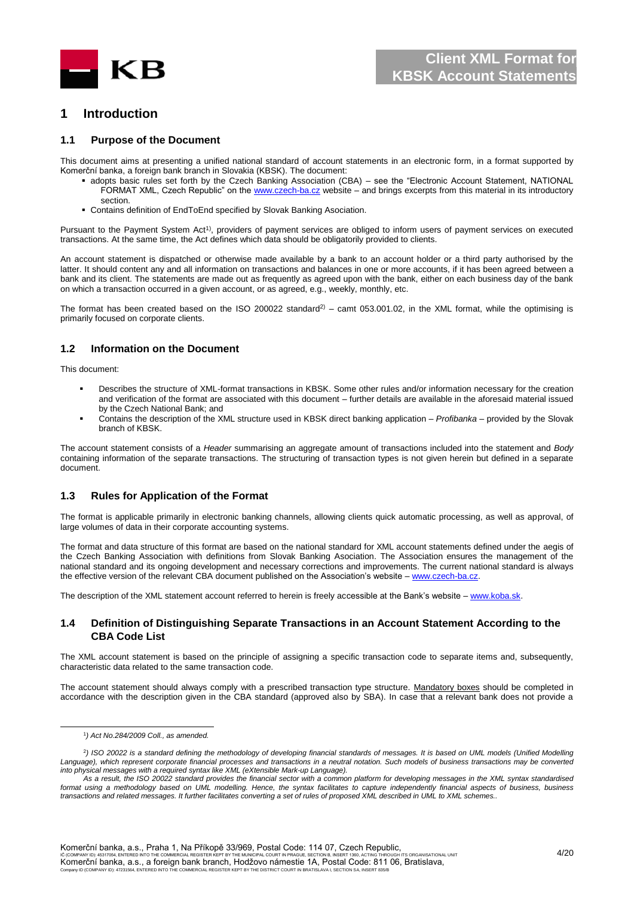

#### <span id="page-3-0"></span>**1 Introduction**

#### <span id="page-3-1"></span>**1.1 Purpose of the Document**

This document aims at presenting a unified national standard of account statements in an electronic form, in a format supported by Komerční banka, a foreign bank branch in Slovakia (KBSK). The document:

- adopts basic rules set forth by the Czech Banking Association (CBA) see the "Electronic Account Statement, NATIONAL FORMAT XML, Czech Republic" on th[e www.czech-ba.cz](file:///D:/Documents%20and%20Settings/lsvobod1/AppData/Local/Microsoft/Windows/Temporary%20Internet%20Files/Content.Outlook/94NM7GGT/www.czech-ba.cz) website – and brings excerpts from this material in its introductory section.
- Contains definition of EndToEnd specified by Slovak Banking Asociation.

Pursuant to the Payment System Act<sup>1)</sup>, providers of payment services are obliged to inform users of payment services on executed transactions. At the same time, the Act defines which data should be obligatorily provided to clients.

An account statement is dispatched or otherwise made available by a bank to an account holder or a third party authorised by the latter. It should content any and all information on transactions and balances in one or more accounts, if it has been agreed between a bank and its client. The statements are made out as frequently as agreed upon with the bank, either on each business day of the bank on which a transaction occurred in a given account, or as agreed, e.g., weekly, monthly, etc.

The format has been created based on the ISO 200022 standard<sup>2)</sup> – camt 053.001.02, in the XML format, while the optimising is primarily focused on corporate clients.

#### <span id="page-3-2"></span>**1.2 Information on the Document**

This document:

- Describes the structure of XML-format transactions in KBSK. Some other rules and/or information necessary for the creation and verification of the format are associated with this document – further details are available in the aforesaid material issued by the Czech National Bank; and
- Contains the description of the XML structure used in KBSK direct banking application *Profibanka* provided by the Slovak branch of KBSK.

The account statement consists of a *Header* summarising an aggregate amount of transactions included into the statement and *Body* containing information of the separate transactions. The structuring of transaction types is not given herein but defined in a separate document.

#### <span id="page-3-3"></span>**1.3 Rules for Application of the Format**

The format is applicable primarily in electronic banking channels, allowing clients quick automatic processing, as well as approval, of large volumes of data in their corporate accounting systems.

The format and data structure of this format are based on the national standard for XML account statements defined under the aegis of the Czech Banking Association with definitions from Slovak Banking Asociation. The Association ensures the management of the national standard and its ongoing development and necessary corrections and improvements. The current national standard is always the effective version of the relevant CBA document published on the Association's website – www.czech-ba.cz

The description of the XML statement account referred to herein is freely accessible at the Bank's website – [www.koba.sk.](http://www.koba.sk/)

#### <span id="page-3-4"></span>**1.4 Definition of Distinguishing Separate Transactions in an Account Statement According to the CBA Code List**

The XML account statement is based on the principle of assigning a specific transaction code to separate items and, subsequently, characteristic data related to the same transaction code.

The account statement should always comply with a prescribed transaction type structure. Mandatory boxes should be completed in accordance with the description given in the CBA standard (approved also by SBA). In case that a relevant bank does not provide a

l

Komerční banka, a.s., Praha 1, Na Příkopě 33/969, Postal Code: 114 07, Czech Republic,<br>Ič (CONPANY ID): 45317054, ENTERED INTO THE COMMERCIAL REGISTER KERT BY THE MUNICIPAL COURT IN RAGILE SECTIONA

IC (COMPANY ID): 45317054, ENTERED INTO THE COMMERCIAL REGISTER KEPT BY THE MUNICIPAL COURT IN PRAGUE, SECTION B, INSERT 1360, ACTING THROUGH ITS ORGANISATIONAL UNIT<br>Komerční banka, a.s., a foreign bank branch, Hodžovo nám Company ID (COMPANY ID): 47231564, ENTERED INTO THE COMMERCIAL REGISTER KEPT BY THE DISTRICT COURT IN BRATISLAVA I, SECTION SA, INSERT 835/B

<sup>1</sup> *) Act No.284/2009 Coll., as amended.*

<sup>2</sup> *) ISO 20022 is a standard defining the methodology of developing financial standards of messages. It is based on UML models (Unified Modelling Language), which represent corporate financial processes and transactions in a neutral notation. Such models of business transactions may be converted into physical messages with a required syntax like XML (eXtensible Mark-up Language).*

*As a result, the ISO 20022 standard provides the financial sector with a common platform for developing messages in the XML syntax standardised*  format using a methodology based on UML modelling. Hence, the syntax facilitates to capture independently financial aspects of business, business *transactions and related messages. It further facilitates converting a set of rules of proposed XML described in UML to XML schemes..*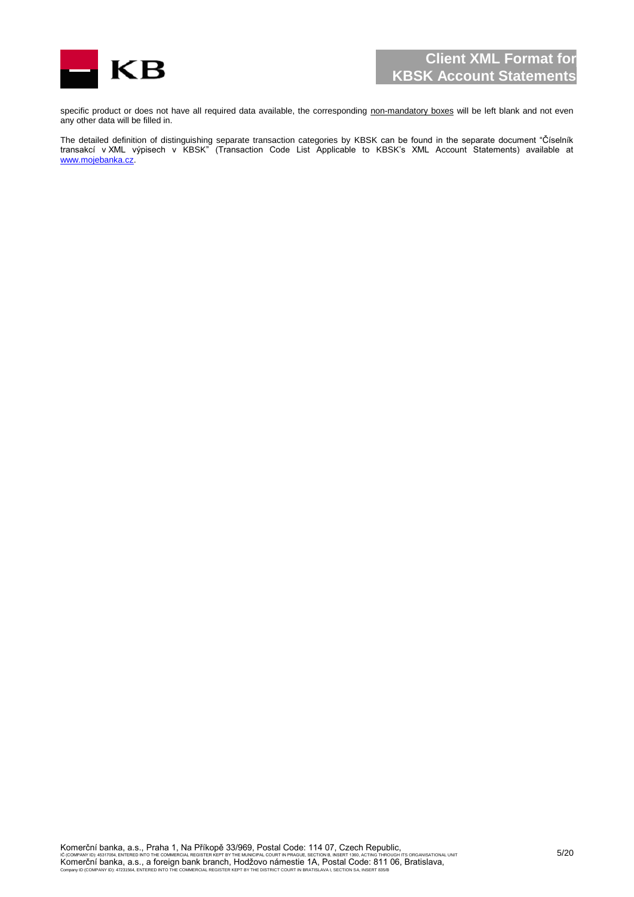

specific product or does not have all required data available, the corresponding non-mandatory boxes will be left blank and not even any other data will be filled in.

The detailed definition of distinguishing separate transaction categories by KBSK can be found in the separate document "Číselník transakcí v XML výpisech v KBSK" (Transaction Code List Applicable to KBSK's XML Account Statements) available at [www.mojebanka.cz.](http://www.mojebanka.cz/)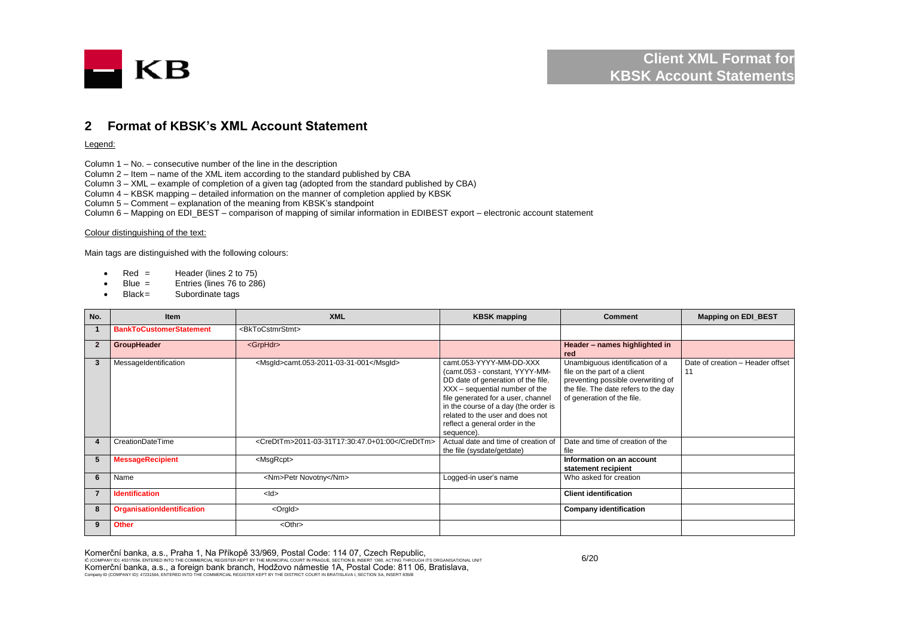

#### **2 Format of KBSK's XML Account Statement**

#### Legend:

Column 1 – No. – consecutive number of the line in the description

Column 2 – Item – name of the XML item according to the standard published by CBA

Column 3 – XML – example of completion of a given tag (adopted from the standard published by CBA)

Column 4 – KBSK mapping – detailed information on the manner of completion applied by KBSK

Column 5 – Comment – explanation of the meaning from KBSK's standpoint

Column 6 – Mapping on EDI\_BEST – comparison of mapping of similar information in EDIBEST export – electronic account statement

#### Colour distinguishing of the text:

Main tags are distinguished with the following colours:

- Red = Header (lines  $2 \text{ to } 75$ )
- Blue = Entries (lines 76 to 286)
- Black= Subordinate tags

<span id="page-5-0"></span>

| No.          | <b>Item</b>                       | <b>XML</b>                                     | <b>KBSK mapping</b>                                                                                                                                                                                                                                                                                 | Comment                                                                                                                                                                     | <b>Mapping on EDI_BEST</b>             |
|--------------|-----------------------------------|------------------------------------------------|-----------------------------------------------------------------------------------------------------------------------------------------------------------------------------------------------------------------------------------------------------------------------------------------------------|-----------------------------------------------------------------------------------------------------------------------------------------------------------------------------|----------------------------------------|
|              | <b>BankToCustomerStatement</b>    | <bktocstmrstmt></bktocstmrstmt>                |                                                                                                                                                                                                                                                                                                     |                                                                                                                                                                             |                                        |
| $\mathbf{2}$ | GroupHeader                       | <grphdr></grphdr>                              |                                                                                                                                                                                                                                                                                                     | Header - names highlighted in<br>red                                                                                                                                        |                                        |
| -3           | MessageIdentification             | <msqld>camt.053-2011-03-31-001</msqld>         | camt.053-YYYY-MM-DD-XXX<br>(camt.053 - constant, YYYY-MM-<br>DD date of generation of the file,<br>XXX - sequential number of the<br>file generated for a user, channel<br>in the course of a day (the order is<br>related to the user and does not<br>reflect a general order in the<br>sequence). | Unambiguous identification of a<br>file on the part of a client<br>preventing possible overwriting of<br>the file. The date refers to the day<br>of generation of the file. | Date of creation - Header offset<br>11 |
| 4            | CreationDateTime                  | <credttm>2011-03-31T17:30:47.0+01:00</credttm> | Actual date and time of creation of<br>the file (sysdate/getdate)                                                                                                                                                                                                                                   | Date and time of creation of the<br>file                                                                                                                                    |                                        |
| 5            | <b>MessageRecipient</b>           | <msgrcpt></msgrcpt>                            |                                                                                                                                                                                                                                                                                                     | Information on an account<br>statement recipient                                                                                                                            |                                        |
| 6            | Name                              | <nm>Petr Novotny</nm>                          | Logged-in user's name                                                                                                                                                                                                                                                                               | Who asked for creation                                                                                                                                                      |                                        |
|              | <b>Identification</b>             | $<$ ld $>$                                     |                                                                                                                                                                                                                                                                                                     | <b>Client identification</b>                                                                                                                                                |                                        |
| 8            | <b>OrganisationIdentification</b> | <orgld></orgld>                                |                                                                                                                                                                                                                                                                                                     | <b>Company identification</b>                                                                                                                                               |                                        |
| 9            | <b>Other</b>                      | $<$ Othr $>$                                   |                                                                                                                                                                                                                                                                                                     |                                                                                                                                                                             |                                        |

Komerční banka, a.s., Praha 1, Na Příkopě 33/969, Postal Code: 114 07, Czech Republic,

IČ (COMPANY ID): 45317054, ENTERED INTO THE COMMERCIAL REGISTER KEPT BY THE MUNICIPAL COURT IN PRAGUE, SECTION B, INSERT 1360, ACTING THROUGH ITS ORGANISATIONAL UNIT Komerční banka, a.s., a foreign bank branch, Hodžovo námestie 1A, Postal Code: 811 06, Bratislava, Company ID (COMPANY ID): 47231564, ENTERED INTO THE COMMERCIAL REGISTER KEPT BY THE DISTRICT COURT IN BRATISLAVA I, SECTION SA, INSERT 835/B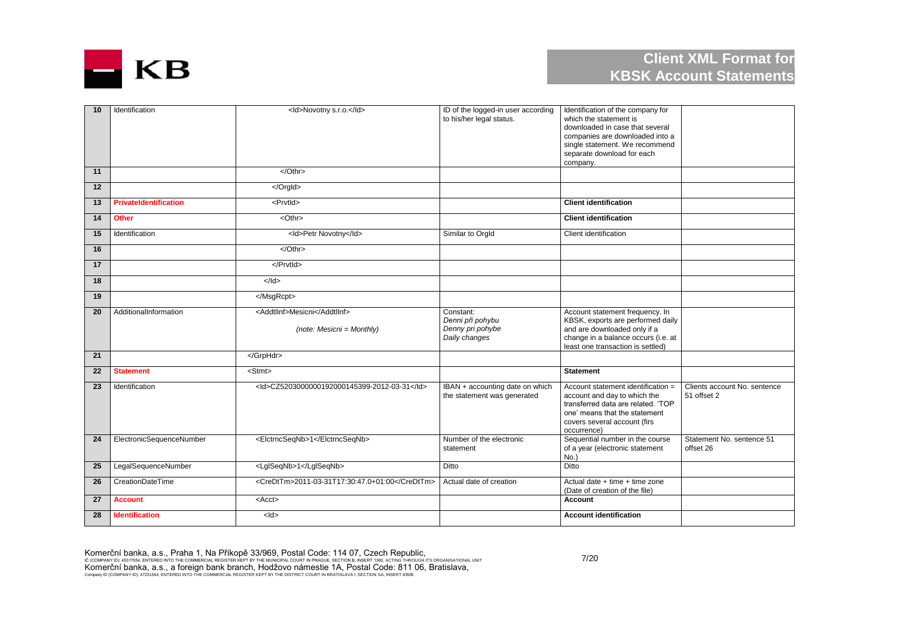

| 10 | Identification               | <ld>Novotny s.r.o.</ld>                                     | ID of the logged-in user according<br>to his/her legal status.     | Identification of the company for<br>which the statement is<br>downloaded in case that several<br>companies are downloaded into a<br>single statement. We recommend<br>separate download for each<br>company. |                                             |
|----|------------------------------|-------------------------------------------------------------|--------------------------------------------------------------------|---------------------------------------------------------------------------------------------------------------------------------------------------------------------------------------------------------------|---------------------------------------------|
| 11 |                              | $<$ /Othr>                                                  |                                                                    |                                                                                                                                                                                                               |                                             |
| 12 |                              |                                                             |                                                                    |                                                                                                                                                                                                               |                                             |
| 13 | <b>PrivateIdentification</b> | <prvtid></prvtid>                                           |                                                                    | <b>Client identification</b>                                                                                                                                                                                  |                                             |
| 14 | <b>Other</b>                 | <othr></othr>                                               |                                                                    | <b>Client identification</b>                                                                                                                                                                                  |                                             |
| 15 | Identification               | <ld>Petr Novotny</ld>                                       | Similar to Orgld                                                   | Client identification                                                                                                                                                                                         |                                             |
| 16 |                              | $<$ Othr>                                                   |                                                                    |                                                                                                                                                                                                               |                                             |
| 17 |                              |                                                             |                                                                    |                                                                                                                                                                                                               |                                             |
| 18 |                              | $<$ /Id>                                                    |                                                                    |                                                                                                                                                                                                               |                                             |
| 19 |                              |                                                             |                                                                    |                                                                                                                                                                                                               |                                             |
| 20 | AdditionalInformation        | <addtllnf>Mesicni</addtllnf><br>$(note: Mesicni = Monthly)$ | Constant:<br>Denni při pohybu<br>Denny pri pohybe<br>Daily changes | Account statement frequency. In<br>KBSK, exports are performed daily<br>and are downloaded only if a<br>change in a balance occurs (i.e. at<br>least one transaction is settled)                              |                                             |
| 21 |                              |                                                             |                                                                    |                                                                                                                                                                                                               |                                             |
| 22 | <b>Statement</b>             | $<$ Stmt $>$                                                |                                                                    | <b>Statement</b>                                                                                                                                                                                              |                                             |
| 23 | Identification               | <ld>CZ5203000000192000145399-2012-03-31</ld>                | IBAN + accounting date on which<br>the statement was generated     | Account statement identification =<br>account and day to which the<br>transferred data are related. 'TOP<br>one' means that the statement<br>covers several account (firs<br>occurrence)                      | Clients account No. sentence<br>51 offset 2 |
| 24 | ElectronicSequenceNumber     | <elctrncseqnb>1</elctrncseqnb>                              | Number of the electronic<br>statement                              | Sequential number in the course<br>of a year (electronic statement<br>No.                                                                                                                                     | Statement No. sentence 51<br>offset 26      |
| 25 | LegalSequenceNumber          | <lglseqnb>1</lglseqnb>                                      | Ditto                                                              | Ditto                                                                                                                                                                                                         |                                             |
| 26 | <b>CreationDateTime</b>      | <credttm>2011-03-31T17:30:47.0+01:00</credttm>              | Actual date of creation                                            | Actual date $+$ time $+$ time zone<br>(Date of creation of the file)                                                                                                                                          |                                             |
| 27 | <b>Account</b>               | $<$ Acct $>$                                                |                                                                    | Account                                                                                                                                                                                                       |                                             |
| 28 | <b>Identification</b>        | $<$ ld $>$                                                  |                                                                    | <b>Account identification</b>                                                                                                                                                                                 |                                             |

Komerční banka, a.s., Praha 1, Na Příkopě 33/969, Postal Code: 114 07, Czech Republic,<br>ič (company id): 45317054, entered into the commercial register kept by the municipal court in prague, section b, insert 1980, acting t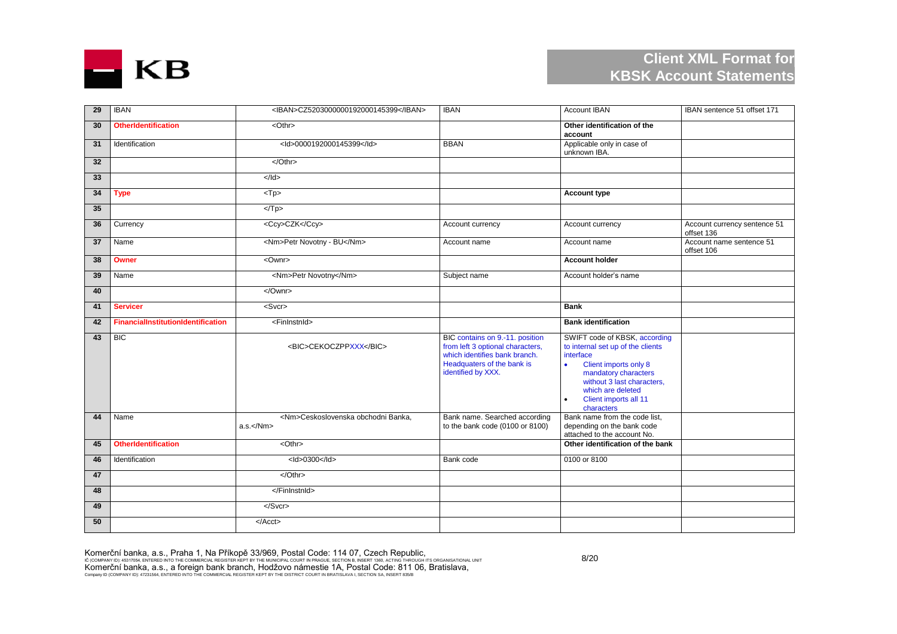

| 29              | <b>IBAN</b>                               | <iban>CZ5203000000192000145399</iban>                                      | <b>IBAN</b>                                                                                                                                              | <b>Account IBAN</b>                                                                                                                                                                                                                    | IBAN sentence 51 offset 171                |
|-----------------|-------------------------------------------|----------------------------------------------------------------------------|----------------------------------------------------------------------------------------------------------------------------------------------------------|----------------------------------------------------------------------------------------------------------------------------------------------------------------------------------------------------------------------------------------|--------------------------------------------|
| 30              | <b>OtherIdentification</b>                | <othr></othr>                                                              |                                                                                                                                                          | Other identification of the<br>account                                                                                                                                                                                                 |                                            |
| 31              | Identification                            | <ld>0000192000145399</ld>                                                  | <b>BBAN</b>                                                                                                                                              | Applicable only in case of<br>unknown IBA.                                                                                                                                                                                             |                                            |
| 32 <sub>2</sub> |                                           |                                                                            |                                                                                                                                                          |                                                                                                                                                                                                                                        |                                            |
| 33              |                                           | $\leq$ /Id>                                                                |                                                                                                                                                          |                                                                                                                                                                                                                                        |                                            |
| 34              | <b>Type</b>                               | $<$ Tp $>$                                                                 |                                                                                                                                                          | <b>Account type</b>                                                                                                                                                                                                                    |                                            |
| 35              |                                           | $<$ Tp>                                                                    |                                                                                                                                                          |                                                                                                                                                                                                                                        |                                            |
| 36              | Currency                                  | <ccy>CZK</ccy>                                                             | Account currency                                                                                                                                         | Account currency                                                                                                                                                                                                                       | Account currency sentence 51<br>offset 136 |
| 37              | Name                                      | <nm>Petr Novotny - BU</nm>                                                 | Account name                                                                                                                                             | Account name                                                                                                                                                                                                                           | Account name sentence 51<br>offset 106     |
| 38              | Owner                                     | <ownr></ownr>                                                              |                                                                                                                                                          | <b>Account holder</b>                                                                                                                                                                                                                  |                                            |
| 39              | Name                                      | <nm>Petr Novotny</nm>                                                      | Subject name                                                                                                                                             | Account holder's name                                                                                                                                                                                                                  |                                            |
| 40              |                                           | $\le$ /Ownr>                                                               |                                                                                                                                                          |                                                                                                                                                                                                                                        |                                            |
| 41              | <b>Servicer</b>                           | <svcr></svcr>                                                              |                                                                                                                                                          | <b>Bank</b>                                                                                                                                                                                                                            |                                            |
|                 |                                           |                                                                            |                                                                                                                                                          |                                                                                                                                                                                                                                        |                                            |
| 42              | <b>FinancialInstitutionIdentification</b> | <fininstnid></fininstnid>                                                  |                                                                                                                                                          | <b>Bank identification</b>                                                                                                                                                                                                             |                                            |
| 43              | $\overline{BC}$                           | <bic>CEKOCZPPXXX</bic>                                                     | BIC contains on 9.-11. position<br>from left 3 optional characters,<br>which identifies bank branch.<br>Headquaters of the bank is<br>identified by XXX. | SWIFT code of KBSK, according<br>to internal set up of the clients<br>interface<br>Client imports only 8<br>$\bullet$<br>mandatory characters<br>without 3 last characters.<br>which are deleted<br>Client imports all 11<br>$\bullet$ |                                            |
| 44              | Name                                      | <nm>Ceskoslovenska obchodni Banka,<br/><math>a.s.&lt;\sqrt{Nm}</math></nm> | Bank name. Searched according<br>to the bank code (0100 or 8100)                                                                                         | characters<br>Bank name from the code list,<br>depending on the bank code<br>attached to the account No.                                                                                                                               |                                            |
| 45              | <b>OtherIdentification</b>                | $<$ Othr $>$                                                               |                                                                                                                                                          | Other identification of the bank                                                                                                                                                                                                       |                                            |
| 46              | Identification                            | $<$ ld>0300 $<$ /ld>                                                       | Bank code                                                                                                                                                | 0100 or 8100                                                                                                                                                                                                                           |                                            |
| 47              |                                           | $\sqrt{Oth}$                                                               |                                                                                                                                                          |                                                                                                                                                                                                                                        |                                            |
| 48              |                                           |                                                                            |                                                                                                                                                          |                                                                                                                                                                                                                                        |                                            |
| 49              |                                           | $<$ /Svcr>                                                                 |                                                                                                                                                          |                                                                                                                                                                                                                                        |                                            |

Komerční banka, a.s., Praha 1, Na Příkopě 33/969, Postal Code: 114 07, Czech Republic,<br>ič (company id): 45317054, entered into the commercial register kept by the municipal court in prague, section b, insert 1980, acting t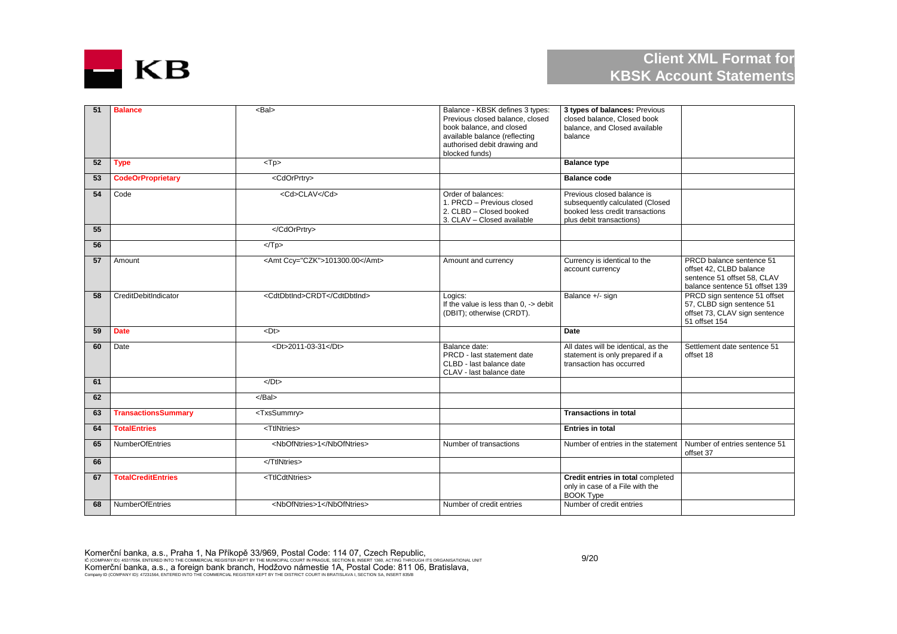

| 51 | <b>Balance</b>             | $Bal$                          | Balance - KBSK defines 3 types:<br>Previous closed balance, closed<br>book balance, and closed<br>available balance (reflecting<br>authorised debit drawing and<br>blocked funds) | 3 types of balances: Previous<br>closed balance, Closed book<br>balance, and Closed available<br>balance                     |                                                                                                                      |
|----|----------------------------|--------------------------------|-----------------------------------------------------------------------------------------------------------------------------------------------------------------------------------|------------------------------------------------------------------------------------------------------------------------------|----------------------------------------------------------------------------------------------------------------------|
| 52 | <b>Type</b>                | $<$ Tp $>$                     |                                                                                                                                                                                   | <b>Balance type</b>                                                                                                          |                                                                                                                      |
| 53 | <b>CodeOrProprietary</b>   | <cdorprtry></cdorprtry>        |                                                                                                                                                                                   | <b>Balance code</b>                                                                                                          |                                                                                                                      |
| 54 | Code                       | <cd>CLAV</cd>                  | Order of balances:<br>1. PRCD - Previous closed<br>2. CLBD - Closed booked<br>3. CLAV - Closed available                                                                          | Previous closed balance is<br>subsequently calculated (Closed<br>booked less credit transactions<br>plus debit transactions) |                                                                                                                      |
| 55 |                            |                                |                                                                                                                                                                                   |                                                                                                                              |                                                                                                                      |
| 56 |                            | $<$ Tp>                        |                                                                                                                                                                                   |                                                                                                                              |                                                                                                                      |
| 57 | Amount                     | <amt ccy="CZK">101300.00</amt> | Amount and currency                                                                                                                                                               | Currency is identical to the<br>account currency                                                                             | PRCD balance sentence 51<br>offset 42, CLBD balance<br>sentence 51 offset 58, CLAV<br>balance sentence 51 offset 139 |
| 58 | CreditDebitIndicator       | <cdtdbtind>CRDT</cdtdbtind>    | Logics:<br>If the value is less than $0.$ -> debit<br>(DBIT); otherwise (CRDT).                                                                                                   | Balance +/- sign                                                                                                             | PRCD sign sentence 51 offset<br>57, CLBD sign sentence 51<br>offset 73, CLAV sign sentence<br>51 offset 154          |
| 59 | <b>Date</b>                | $<$ Dt $>$                     |                                                                                                                                                                                   | Date                                                                                                                         |                                                                                                                      |
| 60 | Date                       | <dt>2011-03-31</dt>            | Balance date:<br>PRCD - last statement date<br>CLBD - last balance date<br>CLAV - last balance date                                                                               | All dates will be identical, as the<br>statement is only prepared if a<br>transaction has occurred                           | Settlement date sentence 51<br>offset 18                                                                             |
| 61 |                            | $<$ /Dt $>$                    |                                                                                                                                                                                   |                                                                                                                              |                                                                                                                      |
| 62 |                            | $<$ /Bal $>$                   |                                                                                                                                                                                   |                                                                                                                              |                                                                                                                      |
| 63 | <b>TransactionsSummary</b> | <txssummry></txssummry>        |                                                                                                                                                                                   | <b>Transactions in total</b>                                                                                                 |                                                                                                                      |
| 64 | <b>TotalEntries</b>        | <ttlntries></ttlntries>        |                                                                                                                                                                                   | <b>Entries in total</b>                                                                                                      |                                                                                                                      |
| 65 | NumberOfEntries            | <nbofntries>1</nbofntries>     | Number of transactions                                                                                                                                                            | Number of entries in the statement                                                                                           | Number of entries sentence 51<br>offset 37                                                                           |
| 66 |                            |                                |                                                                                                                                                                                   |                                                                                                                              |                                                                                                                      |
| 67 | <b>TotalCreditEntries</b>  | <ttlcdtntries></ttlcdtntries>  |                                                                                                                                                                                   | Credit entries in total completed<br>only in case of a File with the<br><b>BOOK Type</b>                                     |                                                                                                                      |
| 68 | NumberOfEntries            | <nbofntries>1</nbofntries>     | Number of credit entries                                                                                                                                                          | Number of credit entries                                                                                                     |                                                                                                                      |

Komerční banka, a.s., Praha 1, Na Příkopě 33/969, Postal Code: 114 07, Czech Republic,<br>ič (company id): 45317054, entered into the commercial register kept by the municipal court in prague, section b, insert 1980, acting t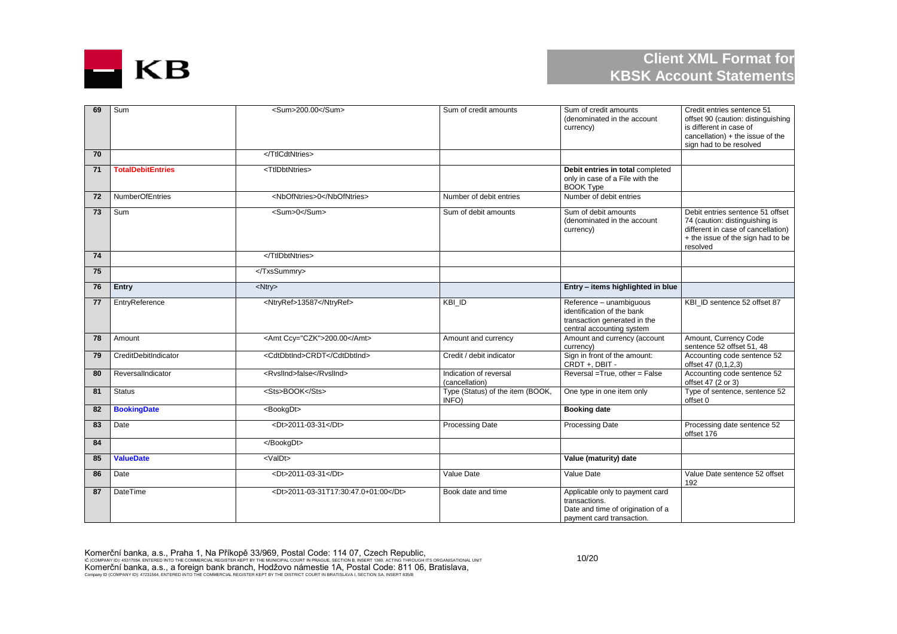

| 69 | Sum                      | <sum>200.00</sum>                    | Sum of credit amounts                     | Sum of credit amounts<br>(denominated in the account<br>currency)                                                  | Credit entries sentence 51<br>offset 90 (caution: distinguishing<br>is different in case of<br>cancellation) + the issue of the<br>sign had to be resolved |
|----|--------------------------|--------------------------------------|-------------------------------------------|--------------------------------------------------------------------------------------------------------------------|------------------------------------------------------------------------------------------------------------------------------------------------------------|
| 70 |                          |                                      |                                           |                                                                                                                    |                                                                                                                                                            |
| 71 | <b>TotalDebitEntries</b> | <ttldbtntries></ttldbtntries>        |                                           | Debit entries in total completed<br>only in case of a File with the<br><b>BOOK Type</b>                            |                                                                                                                                                            |
| 72 | <b>NumberOfEntries</b>   | <nbofntries>0</nbofntries>           | Number of debit entries                   | Number of debit entries                                                                                            |                                                                                                                                                            |
| 73 | Sum                      | <sum>0</sum>                         | Sum of debit amounts                      | Sum of debit amounts<br>(denominated in the account<br>currency)                                                   | Debit entries sentence 51 offset<br>74 (caution: distinguishing is<br>different in case of cancellation)<br>+ the issue of the sign had to be<br>resolved  |
| 74 |                          |                                      |                                           |                                                                                                                    |                                                                                                                                                            |
| 75 |                          |                                      |                                           |                                                                                                                    |                                                                                                                                                            |
| 76 | Entry                    | <ntry></ntry>                        |                                           | Entry - items highlighted in blue                                                                                  |                                                                                                                                                            |
| 77 | EntryReference           | <ntryref>13587</ntryref>             | $KBI$ <sub>ID</sub>                       | Reference - unambiquous<br>identification of the bank<br>transaction generated in the<br>central accounting system | KBI ID sentence 52 offset 87                                                                                                                               |
| 78 | Amount                   | <amt ccy="CZK">200.00</amt>          | Amount and currency                       | Amount and currency (account<br>currency)                                                                          | Amount, Currency Code<br>sentence 52 offset 51, 48                                                                                                         |
| 79 | CreditDebitIndicator     | <cdtdbtind>CRDT</cdtdbtind>          | Credit / debit indicator                  | Sign in front of the amount:<br>CRDT +, DBIT -                                                                     | Accounting code sentence 52<br>offset 47 (0,1,2,3)                                                                                                         |
| 80 | ReversalIndicator        | <rvsllnd>false</rvsllnd>             | Indication of reversal<br>(cancellation)  | Reversal = True, other = False                                                                                     | Accounting code sentence 52<br>offset 47 (2 or 3)                                                                                                          |
| 81 | <b>Status</b>            | <sts>BOOK</sts>                      | Type (Status) of the item (BOOK,<br>INFO) | One type in one item only                                                                                          | Type of sentence, sentence 52<br>offset 0                                                                                                                  |
| 82 | <b>BookingDate</b>       | <bookgdt></bookgdt>                  |                                           | <b>Booking date</b>                                                                                                |                                                                                                                                                            |
| 83 | Date                     | <dt>2011-03-31</dt>                  | <b>Processing Date</b>                    | <b>Processing Date</b>                                                                                             | Processing date sentence 52<br>offset 176                                                                                                                  |
| 84 |                          |                                      |                                           |                                                                                                                    |                                                                                                                                                            |
| 85 | <b>ValueDate</b>         | <valdt></valdt>                      |                                           | Value (maturity) date                                                                                              |                                                                                                                                                            |
| 86 | Date                     | <dt>2011-03-31</dt>                  | Value Date                                | Value Date                                                                                                         | Value Date sentence 52 offset<br>192                                                                                                                       |
| 87 | DateTime                 | <dt>2011-03-31T17:30:47.0+01:00</dt> | Book date and time                        | Applicable only to payment card<br>transactions.<br>Date and time of origination of a<br>payment card transaction. |                                                                                                                                                            |

Komerční banka, a.s., Praha 1, Na Příkopě 33/969, Postal Code: 114 07, Czech Republic,<br>ič (company id): 45317054, entered into the commercial register kept by the municipal court in prague, section b, insert 1980, acting t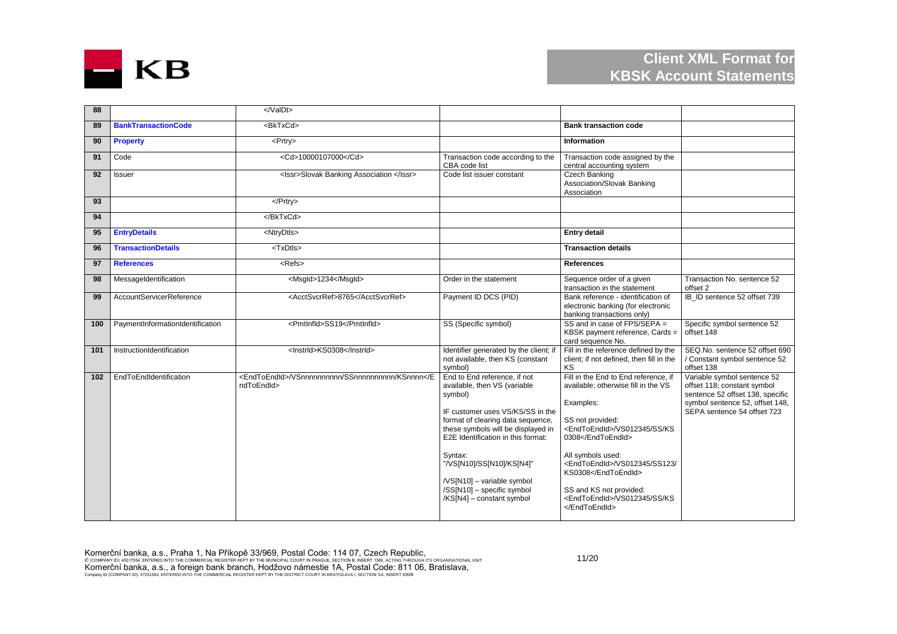

| 88  |                                  |                                                                         |                                                                                                                                                                                                                                                                                                                                                               |                                                                                                                                                                                                                                                                                                                            |                                                                                                                                                                  |
|-----|----------------------------------|-------------------------------------------------------------------------|---------------------------------------------------------------------------------------------------------------------------------------------------------------------------------------------------------------------------------------------------------------------------------------------------------------------------------------------------------------|----------------------------------------------------------------------------------------------------------------------------------------------------------------------------------------------------------------------------------------------------------------------------------------------------------------------------|------------------------------------------------------------------------------------------------------------------------------------------------------------------|
| 89  | <b>BankTransactionCode</b>       | <bktxcd></bktxcd>                                                       |                                                                                                                                                                                                                                                                                                                                                               | <b>Bank transaction code</b>                                                                                                                                                                                                                                                                                               |                                                                                                                                                                  |
| 90  | <b>Property</b>                  | <prtry></prtry>                                                         |                                                                                                                                                                                                                                                                                                                                                               | Information                                                                                                                                                                                                                                                                                                                |                                                                                                                                                                  |
| 91  | Code                             | <cd>10000107000</cd>                                                    | Transaction code according to the<br>CBA code list                                                                                                                                                                                                                                                                                                            | Transaction code assigned by the<br>central accounting system                                                                                                                                                                                                                                                              |                                                                                                                                                                  |
| 92  | Issuer                           | <lssr>Slovak Banking Association </lssr>                                | Code list issuer constant                                                                                                                                                                                                                                                                                                                                     | Czech Banking<br>Association/Slovak Banking<br>Association                                                                                                                                                                                                                                                                 |                                                                                                                                                                  |
| 93  |                                  |                                                                         |                                                                                                                                                                                                                                                                                                                                                               |                                                                                                                                                                                                                                                                                                                            |                                                                                                                                                                  |
| 94  |                                  |                                                                         |                                                                                                                                                                                                                                                                                                                                                               |                                                                                                                                                                                                                                                                                                                            |                                                                                                                                                                  |
| 95  | <b>EntryDetails</b>              | <ntrydtls></ntrydtls>                                                   |                                                                                                                                                                                                                                                                                                                                                               | <b>Entry detail</b>                                                                                                                                                                                                                                                                                                        |                                                                                                                                                                  |
| 96  | <b>TransactionDetails</b>        | <txdtls></txdtls>                                                       |                                                                                                                                                                                                                                                                                                                                                               | <b>Transaction details</b>                                                                                                                                                                                                                                                                                                 |                                                                                                                                                                  |
| 97  | <b>References</b>                | <refs></refs>                                                           |                                                                                                                                                                                                                                                                                                                                                               | <b>References</b>                                                                                                                                                                                                                                                                                                          |                                                                                                                                                                  |
| 98  | MessageIdentification            | <msgld>1234</msgld>                                                     | Order in the statement                                                                                                                                                                                                                                                                                                                                        | Sequence order of a given<br>transaction in the statement                                                                                                                                                                                                                                                                  | Transaction No. sentence 52<br>offset 2                                                                                                                          |
| 99  | AccountServicerReference         | <acctsvcrref>8765</acctsvcrref>                                         | Payment ID DCS (PID)                                                                                                                                                                                                                                                                                                                                          | Bank reference - identification of<br>electronic banking (for electronic<br>banking transactions only)                                                                                                                                                                                                                     | IB ID sentence 52 offset 739                                                                                                                                     |
| 100 | PaymentInformationIdentification | <pmtlnfld>SS19</pmtlnfld>                                               | SS (Specific symbol)                                                                                                                                                                                                                                                                                                                                          | SS and in case of $FPS/SEPA =$<br>KBSK payment reference, Cards =<br>card sequence No.                                                                                                                                                                                                                                     | Specific symbol sentence 52<br>offset 148                                                                                                                        |
| 101 | InstructionIdentification        | <lnstrld>KS0308</lnstrld>                                               | Identifier generated by the client; if<br>not available, then KS (constant<br>symbol)                                                                                                                                                                                                                                                                         | Fill in the reference defined by the<br>client; if not defined, then fill in the<br><b>KS</b>                                                                                                                                                                                                                              | SEQ.No. sentence 52 offset 690<br>/ Constant symbol sentence 52<br>offset 138                                                                                    |
| 102 | EndToEndIdentification           | <endtoendid>/VSnnnnnnnnnn/SSnnnnnnnnnn/KSnnnnndToEndId&gt;</endtoendid> | End to End reference, if not<br>available, then VS (variable<br>symbol)<br>IF customer uses VS/KS/SS in the<br>format of clearing data sequence,<br>these symbols will be displayed in<br>E2E Identification in this format:<br>Syntax:<br>"/VS[N10]/SS[N10]/KS[N4]"<br>/VS[N10] - variable symbol<br>/SS[N10] - specific symbol<br>/KS[N4] - constant symbol | Fill in the End to End reference, if<br>available; otherwise fill in the VS<br>Examples:<br>SS not provided:<br><endtoendid>/VS012345/SS/KS<br/>0308</endtoendid><br>All symbols used:<br><endtoendid>/VS012345/SS123/<br/>KS0308</endtoendid><br>SS and KS not provided:<br><endtoendid>/VS012345/SS/KS<br/></endtoendid> | Variable symbol sentence 52<br>offset 118; constant symbol<br>sentence 52 offset 138, specific<br>symbol sentence 52, offset 148,<br>SEPA sentence 54 offset 723 |

Komerční banka, a.s., Praha 1, Na Příkopě 33/969, Postal Code: 114 07, Czech Republic,<br>ič (company id): 45317054, entered into the commercial register kept by the municipal court in prague, section b, insert 1980, acting t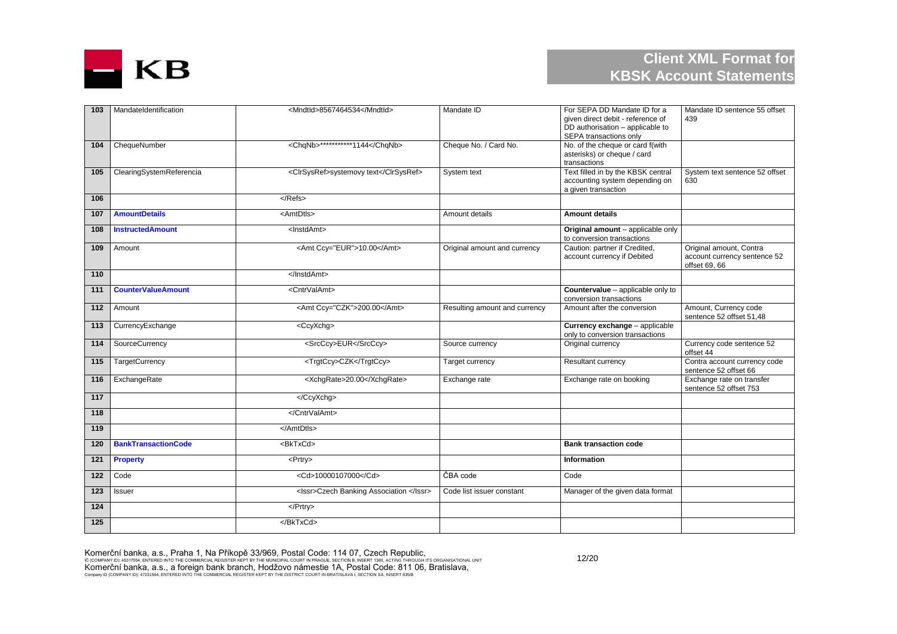

| 103              | MandateIdentification      | <mndtid>8567464534</mndtid>             | Mandate ID                    | For SEPA DD Mandate ID for a<br>given direct debit - reference of<br>DD authorisation - applicable to<br>SEPA transactions only | Mandate ID sentence 55 offset<br>439                                     |
|------------------|----------------------------|-----------------------------------------|-------------------------------|---------------------------------------------------------------------------------------------------------------------------------|--------------------------------------------------------------------------|
| 104              | ChequeNumber               | <chanb>***********1144</chanb>          | Cheque No. / Card No.         | No. of the cheque or card f(with<br>asterisks) or cheque / card<br>transactions                                                 |                                                                          |
| 105              | ClearingSystemReferencia   | <clrsysref>systemovy text</clrsysref>   | System text                   | Text filled in by the KBSK central<br>accounting system depending on<br>a given transaction                                     | System text sentence 52 offset<br>630                                    |
| 106              |                            | $<$ /Refs>                              |                               |                                                                                                                                 |                                                                          |
| 107              | <b>AmountDetails</b>       | <amtdtls></amtdtls>                     | Amount details                | <b>Amount details</b>                                                                                                           |                                                                          |
| 108              | <b>InstructedAmount</b>    | <lnstdamt></lnstdamt>                   |                               | Original amount - applicable only<br>to conversion transactions                                                                 |                                                                          |
| 109              | Amount                     | <amt ccy="EUR">10.00</amt>              | Original amount and currency  | Caution: partner if Credited,<br>account currency if Debited                                                                    | Original amount, Contra<br>account currency sentence 52<br>offset 69, 66 |
| 110              |                            |                                         |                               |                                                                                                                                 |                                                                          |
| 111              | <b>CounterValueAmount</b>  | <cntrvalamt></cntrvalamt>               |                               | Countervalue - applicable only to<br>conversion transactions                                                                    |                                                                          |
| 112              | Amount                     | <amt ccy="CZK">200.00</amt>             | Resulting amount and currency | Amount after the conversion                                                                                                     | Amount, Currency code<br>sentence 52 offset 51.48                        |
| 113              | CurrencyExchange           | <ccyxchg></ccyxchg>                     |                               | Currency exchange - applicable<br>only to conversion transactions                                                               |                                                                          |
| 114              | SourceCurrency             | <srcccy>EUR</srcccy>                    | Source currency               | Original currency                                                                                                               | Currency code sentence 52<br>offset 44                                   |
| 115              | <b>TargetCurrency</b>      | <trgtccy>CZK</trgtccy>                  | Target currency               | Resultant currency                                                                                                              | Contra account currency code<br>sentence 52 offset 66                    |
| 116              | ExchangeRate               | <xchgrate>20.00</xchgrate>              | Exchange rate                 | Exchange rate on booking                                                                                                        | Exchange rate on transfer<br>sentence 52 offset 753                      |
| 117              |                            |                                         |                               |                                                                                                                                 |                                                                          |
| 118              |                            |                                         |                               |                                                                                                                                 |                                                                          |
| 119              |                            |                                         |                               |                                                                                                                                 |                                                                          |
| 120              | <b>BankTransactionCode</b> | <bktxcd></bktxcd>                       |                               | <b>Bank transaction code</b>                                                                                                    |                                                                          |
| 121              | <b>Property</b>            | <prtry></prtry>                         |                               | <b>Information</b>                                                                                                              |                                                                          |
| 122              | Code                       | <cd>10000107000</cd>                    | ČBA code                      | Code                                                                                                                            |                                                                          |
| $\overline{123}$ | Issuer                     | <lssr>Czech Banking Association </lssr> | Code list issuer constant     | Manager of the given data format                                                                                                |                                                                          |
| 124              |                            | $<$ /Prtry>                             |                               |                                                                                                                                 |                                                                          |
| 125              |                            |                                         |                               |                                                                                                                                 |                                                                          |

Komerční banka, a.s., Praha 1, Na Příkopě 33/969, Postal Code: 114 07, Czech Republic,<br>ič (company id): 45317054, entered into the commercial register kept by the municipal court in prague, section b, insert 1980, acting t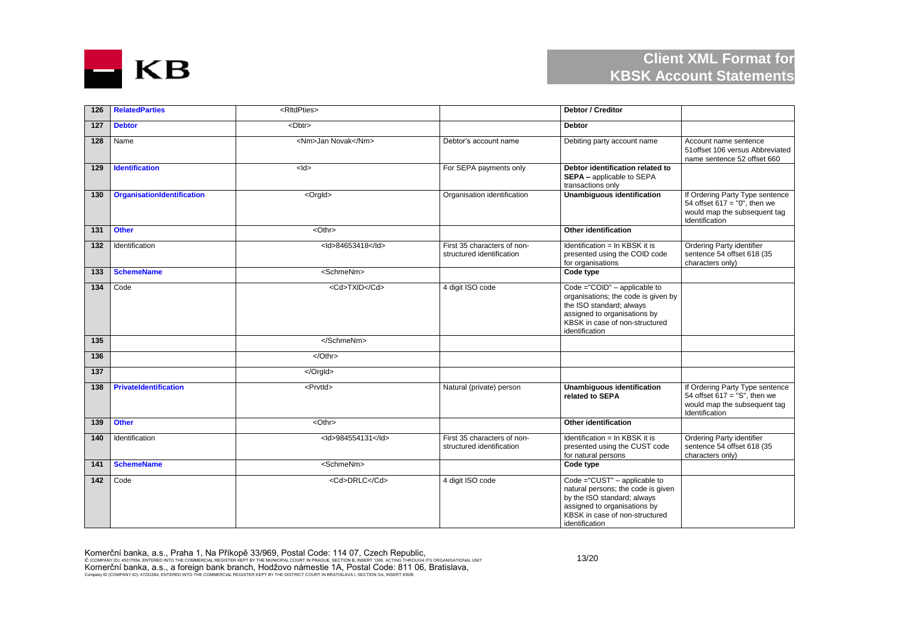

| 126              | <b>RelatedParties</b>        | <rltdpties></rltdpties> |                                                          | Debtor / Creditor                                                                                                                                                                     |                                                                                                                      |
|------------------|------------------------------|-------------------------|----------------------------------------------------------|---------------------------------------------------------------------------------------------------------------------------------------------------------------------------------------|----------------------------------------------------------------------------------------------------------------------|
| 127              | <b>Debtor</b>                | <dbtr></dbtr>           |                                                          | <b>Debtor</b>                                                                                                                                                                         |                                                                                                                      |
| 128              | Name                         | <nm>Jan Novak</nm>      | Debtor's account name                                    | Debiting party account name                                                                                                                                                           | Account name sentence<br>51 offset 106 versus Abbreviated<br>name sentence 52 offset 660                             |
| 129              | Identification               | $<$ ld $>$              | For SEPA payments only                                   | Debtor identification related to<br>SEPA - applicable to SEPA<br>transactions only                                                                                                    |                                                                                                                      |
| 130              | OrganisationIdentification   | <orgld></orgld>         | Organisation identification                              | <b>Unambiguous identification</b>                                                                                                                                                     | If Ordering Party Type sentence<br>54 offset $617 = "0"$ , then we<br>would map the subsequent tag<br>Identification |
| 131              | <b>Other</b>                 | <othr></othr>           |                                                          | Other identification                                                                                                                                                                  |                                                                                                                      |
| 132              | Identification               | <ld>84653418</ld>       | First 35 characters of non-<br>structured identification | Identification = In KBSK it is<br>presented using the COID code<br>for organisations                                                                                                  | Ordering Party identifier<br>sentence 54 offset 618 (35<br>characters only)                                          |
| 133              | <b>SchemeName</b>            | <schmenm></schmenm>     |                                                          | Code type                                                                                                                                                                             |                                                                                                                      |
| 134              | Code                         | <cd>TXID</cd>           | 4 digit ISO code                                         | Code ="COID" - applicable to<br>organisations; the code is given by<br>the ISO standard; always<br>assigned to organisations by<br>KBSK in case of non-structured<br>identification   |                                                                                                                      |
| 135              |                              |                         |                                                          |                                                                                                                                                                                       |                                                                                                                      |
| 136              |                              |                         |                                                          |                                                                                                                                                                                       |                                                                                                                      |
| $\overline{137}$ |                              |                         |                                                          |                                                                                                                                                                                       |                                                                                                                      |
| 138              | <b>PrivateIdentification</b> | <prvtld></prvtld>       | Natural (private) person                                 | <b>Unambiguous identification</b><br>related to SEPA                                                                                                                                  | If Ordering Party Type sentence<br>54 offset $617 = "S"$ , then we<br>would map the subsequent tag<br>Identification |
| 139              | <b>Other</b>                 | <othr></othr>           |                                                          | Other identification                                                                                                                                                                  |                                                                                                                      |
| 140              | Identification               | <ld>984554131</ld>      | First 35 characters of non-<br>structured identification | Identification = In KBSK it is<br>presented using the CUST code<br>for natural persons                                                                                                | <b>Ordering Party identifier</b><br>sentence 54 offset 618 (35<br>characters only)                                   |
| 141              | <b>SchemeName</b>            | <schmenm></schmenm>     |                                                          | Code type                                                                                                                                                                             |                                                                                                                      |
| 142              | Code                         | <cd>DRLC</cd>           | 4 digit ISO code                                         | Code ="CUST" - applicable to<br>natural persons; the code is given<br>by the ISO standard; always<br>assigned to organisations by<br>KBSK in case of non-structured<br>identification |                                                                                                                      |

Komerční banka, a.s., Praha 1, Na Příkopě 33/969, Postal Code: 114 07, Czech Republic,<br>ič (company id): 45317054, entered into the commercial register kept by the municipal court in prague, section b, insert 1980, acting t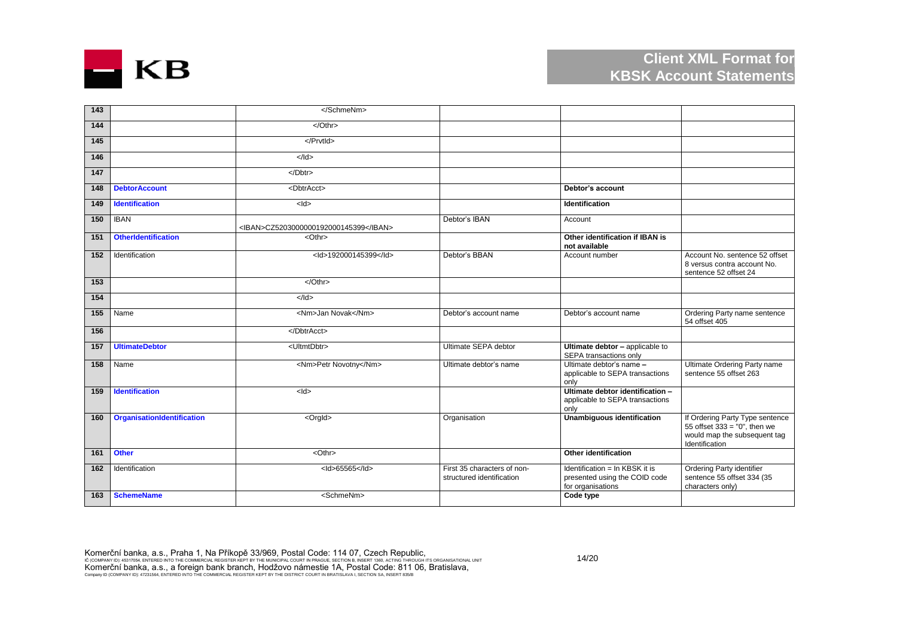

| 143              |                            |                                       |                                                          |                                                                                      |                                                                                                                      |
|------------------|----------------------------|---------------------------------------|----------------------------------------------------------|--------------------------------------------------------------------------------------|----------------------------------------------------------------------------------------------------------------------|
| 144              |                            | $\sqrt{Oth}$                          |                                                          |                                                                                      |                                                                                                                      |
| 145              |                            |                                       |                                                          |                                                                                      |                                                                                                                      |
| 146              |                            | $<$ /Id>                              |                                                          |                                                                                      |                                                                                                                      |
| $\overline{147}$ |                            | $\sqrt{D}$                            |                                                          |                                                                                      |                                                                                                                      |
| 148              | <b>DebtorAccount</b>       | <dbtracct></dbtracct>                 |                                                          | Debtor's account                                                                     |                                                                                                                      |
| 149              | <b>Identification</b>      | $\frac{1}{4}$                         |                                                          | Identification                                                                       |                                                                                                                      |
| 150              | <b>IBAN</b>                | <iban>CZ5203000000192000145399</iban> | Debtor's IBAN                                            | Account                                                                              |                                                                                                                      |
| 151              | <b>OtherIdentification</b> | <othr></othr>                         |                                                          | Other identification if IBAN is<br>not available                                     |                                                                                                                      |
| 152              | Identification             | <ld>192000145399</ld>                 | Debtor's BBAN                                            | Account number                                                                       | Account No. sentence 52 offset<br>8 versus contra account No.<br>sentence 52 offset 24                               |
| 153              |                            | $\sqrt{Oth}$                          |                                                          |                                                                                      |                                                                                                                      |
| 154              |                            | $<$ /ld>                              |                                                          |                                                                                      |                                                                                                                      |
| 155              | Name                       | <nm>Jan Novak</nm>                    | Debtor's account name                                    | Debtor's account name                                                                | Ordering Party name sentence<br>54 offset 405                                                                        |
| 156              |                            |                                       |                                                          |                                                                                      |                                                                                                                      |
| 157              | <b>UltimateDebtor</b>      | <ultmtdbtr></ultmtdbtr>               | Ultimate SEPA debtor                                     | Ultimate debtor - applicable to<br>SEPA transactions only                            |                                                                                                                      |
| 158              | Name                       | <nm>Petr Novotny</nm>                 | Ultimate debtor's name                                   | Ultimate debtor's name -<br>applicable to SEPA transactions<br>only                  | Ultimate Ordering Party name<br>sentence 55 offset 263                                                               |
| 159              | <b>Identification</b>      | $<$ ld>                               |                                                          | Ultimate debtor identification -<br>applicable to SEPA transactions<br>only          |                                                                                                                      |
| 160              | OrganisationIdentification | <orgld></orgld>                       | Organisation                                             | Unambiguous identification                                                           | If Ordering Party Type sentence<br>55 offset $333 = "0"$ , then we<br>would map the subsequent tag<br>Identification |
| 161              | <b>Other</b>               | $<$ Othr $>$                          |                                                          | Other identification                                                                 |                                                                                                                      |
| 162              | Identification             | <ld>65565</ld>                        | First 35 characters of non-<br>structured identification | Identification = In KBSK it is<br>presented using the COID code<br>for organisations | Ordering Party identifier<br>sentence 55 offset 334 (35<br>characters only)                                          |
| 163              | <b>SchemeName</b>          | <schmenm></schmenm>                   |                                                          | Code type                                                                            |                                                                                                                      |

Komerční banka, a.s., Praha 1, Na Příkopě 33/969, Postal Code: 114 07, Czech Republic,<br>ič (company id): 45317054, entered into the commercial register kept by the municipal court in prague, section b, insert 1980, acting t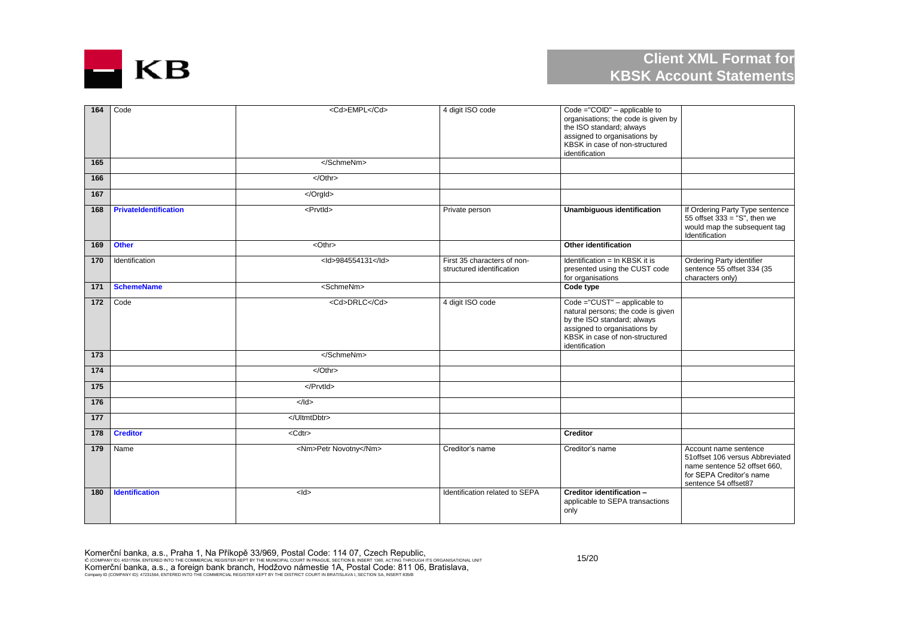

| 164              | Code                         | <cd>EMPL</cd>         | 4 digit ISO code                                         | Code ="COID" - applicable to<br>organisations; the code is given by<br>the ISO standard; always<br>assigned to organisations by<br>KBSK in case of non-structured<br>identification   |                                                                                                                                               |
|------------------|------------------------------|-----------------------|----------------------------------------------------------|---------------------------------------------------------------------------------------------------------------------------------------------------------------------------------------|-----------------------------------------------------------------------------------------------------------------------------------------------|
| 165              |                              |                       |                                                          |                                                                                                                                                                                       |                                                                                                                                               |
| 166              |                              | $<$ /Othr>            |                                                          |                                                                                                                                                                                       |                                                                                                                                               |
| 167              |                              |                       |                                                          |                                                                                                                                                                                       |                                                                                                                                               |
| 168              | <b>PrivateIdentification</b> | <prvtid></prvtid>     | Private person                                           | <b>Unambiguous identification</b>                                                                                                                                                     | If Ordering Party Type sentence<br>55 offset $333 = "S",$ then we<br>would map the subsequent tag<br>Identification                           |
| 169              | <b>Other</b>                 | $<$ Othr $>$          |                                                          | Other identification                                                                                                                                                                  |                                                                                                                                               |
| 170              | Identification               | <ld>984554131</ld>    | First 35 characters of non-<br>structured identification | Identification = In KBSK it is<br>presented using the CUST code<br>for organisations                                                                                                  | Ordering Party identifier<br>sentence 55 offset 334 (35<br>characters only)                                                                   |
| 171              | <b>SchemeName</b>            | <schmenm></schmenm>   |                                                          | Code type                                                                                                                                                                             |                                                                                                                                               |
| 172              | Code                         | <cd>DRLC</cd>         | 4 digit ISO code                                         | Code ="CUST" - applicable to<br>natural persons; the code is given<br>by the ISO standard; always<br>assigned to organisations by<br>KBSK in case of non-structured<br>identification |                                                                                                                                               |
| 173              |                              |                       |                                                          |                                                                                                                                                                                       |                                                                                                                                               |
| $\frac{174}{2}$  |                              | $<$ /Othr>            |                                                          |                                                                                                                                                                                       |                                                                                                                                               |
| $\overline{175}$ |                              |                       |                                                          |                                                                                                                                                                                       |                                                                                                                                               |
| $\frac{176}{ }$  |                              | $<$ /ld>              |                                                          |                                                                                                                                                                                       |                                                                                                                                               |
| $\frac{1}{77}$   |                              |                       |                                                          |                                                                                                                                                                                       |                                                                                                                                               |
| 178              | <b>Creditor</b>              | <cdtr></cdtr>         |                                                          | <b>Creditor</b>                                                                                                                                                                       |                                                                                                                                               |
| 179              | Name                         | <nm>Petr Novotny</nm> | Creditor's name                                          | Creditor's name                                                                                                                                                                       | Account name sentence<br>51 offset 106 versus Abbreviated<br>name sentence 52 offset 660.<br>for SEPA Creditor's name<br>sentence 54 offset87 |
| 180              | <b>Identification</b>        | $<$ ld $>$            | Identification related to SEPA                           | Creditor identification -<br>applicable to SEPA transactions<br>only                                                                                                                  |                                                                                                                                               |

Komerční banka, a.s., Praha 1, Na Příkopě 33/969, Postal Code: 114 07, Czech Republic,<br>ič (company id): 45317054, entered into the commercial register kept by the municipal court in prague, section b, insert 1980, acting t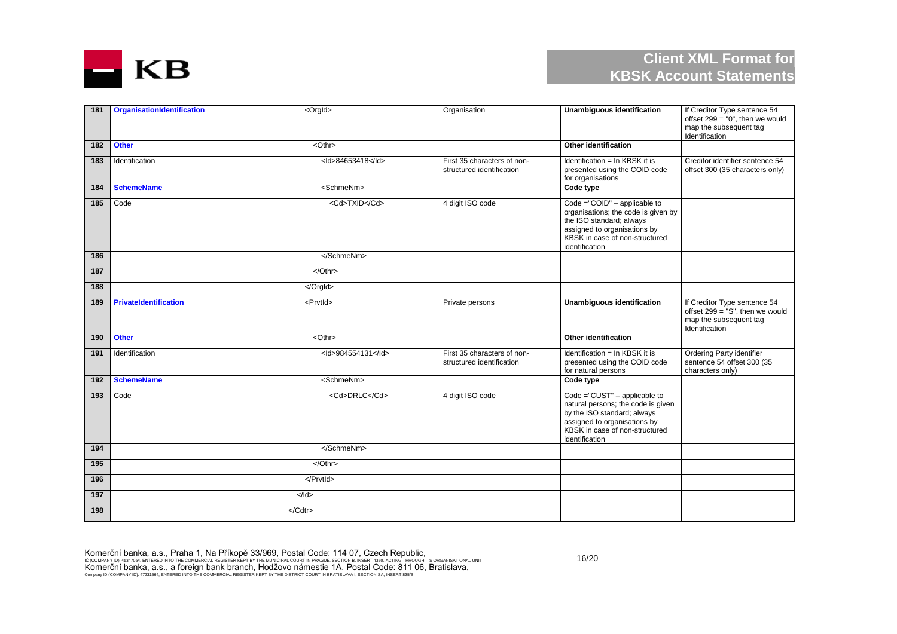

| 181 | <b>OrganisationIdentification</b> | <orgld></orgld>     | Organisation                                             | <b>Unambiguous identification</b>                                                                                                                                                     | If Creditor Type sentence 54<br>offset $299 = "0",$ then we would<br>map the subsequent tag<br>Identification  |
|-----|-----------------------------------|---------------------|----------------------------------------------------------|---------------------------------------------------------------------------------------------------------------------------------------------------------------------------------------|----------------------------------------------------------------------------------------------------------------|
| 182 | <b>Other</b>                      | <othr></othr>       |                                                          | Other identification                                                                                                                                                                  |                                                                                                                |
| 183 | Identification                    | <ld>84653418</ld>   | First 35 characters of non-<br>structured identification | Identification = In KBSK it is<br>presented using the COID code<br>for organisations                                                                                                  | Creditor identifier sentence 54<br>offset 300 (35 characters only)                                             |
| 184 | <b>SchemeName</b>                 | <schmenm></schmenm> |                                                          | Code type                                                                                                                                                                             |                                                                                                                |
| 185 | Code                              | <cd>TXID</cd>       | 4 digit ISO code                                         | Code ="COID" - applicable to<br>organisations; the code is given by<br>the ISO standard; always<br>assigned to organisations by<br>KBSK in case of non-structured<br>identification   |                                                                                                                |
| 186 |                                   |                     |                                                          |                                                                                                                                                                                       |                                                                                                                |
| 187 |                                   | $<$ /Othr>          |                                                          |                                                                                                                                                                                       |                                                                                                                |
| 188 |                                   |                     |                                                          |                                                                                                                                                                                       |                                                                                                                |
| 189 | <b>PrivateIdentification</b>      | <prvtid></prvtid>   | Private persons                                          | <b>Unambiguous identification</b>                                                                                                                                                     | If Creditor Type sentence 54<br>offset $299 = "S"$ , then we would<br>map the subsequent tag<br>Identification |
| 190 | <b>Other</b>                      | <othr></othr>       |                                                          | Other identification                                                                                                                                                                  |                                                                                                                |
| 191 | Identification                    | <ld>984554131</ld>  | First 35 characters of non-<br>structured identification | Identification = In KBSK it is<br>presented using the COID code<br>for natural persons                                                                                                | Ordering Party identifier<br>sentence 54 offset 300 (35<br>characters only)                                    |
| 192 | <b>SchemeName</b>                 | <schmenm></schmenm> |                                                          | Code type                                                                                                                                                                             |                                                                                                                |
| 193 | Code                              | <cd>DRLC</cd>       | 4 digit ISO code                                         | Code ="CUST" - applicable to<br>natural persons; the code is given<br>by the ISO standard; always<br>assigned to organisations by<br>KBSK in case of non-structured<br>identification |                                                                                                                |
| 194 |                                   |                     |                                                          |                                                                                                                                                                                       |                                                                                                                |
| 195 |                                   | $\sqrt{Oth}$        |                                                          |                                                                                                                                                                                       |                                                                                                                |
| 196 |                                   |                     |                                                          |                                                                                                                                                                                       |                                                                                                                |
| 197 |                                   | $<$ /ld>            |                                                          |                                                                                                                                                                                       |                                                                                                                |
| 198 |                                   | $<$ /Cdtr>          |                                                          |                                                                                                                                                                                       |                                                                                                                |

Komerční banka, a.s., Praha 1, Na Příkopě 33/969, Postal Code: 114 07, Czech Republic,<br>ič (company id): 45317054, entered into the commercial register kept by the municipal court in prague, section b, insert 1980, acting t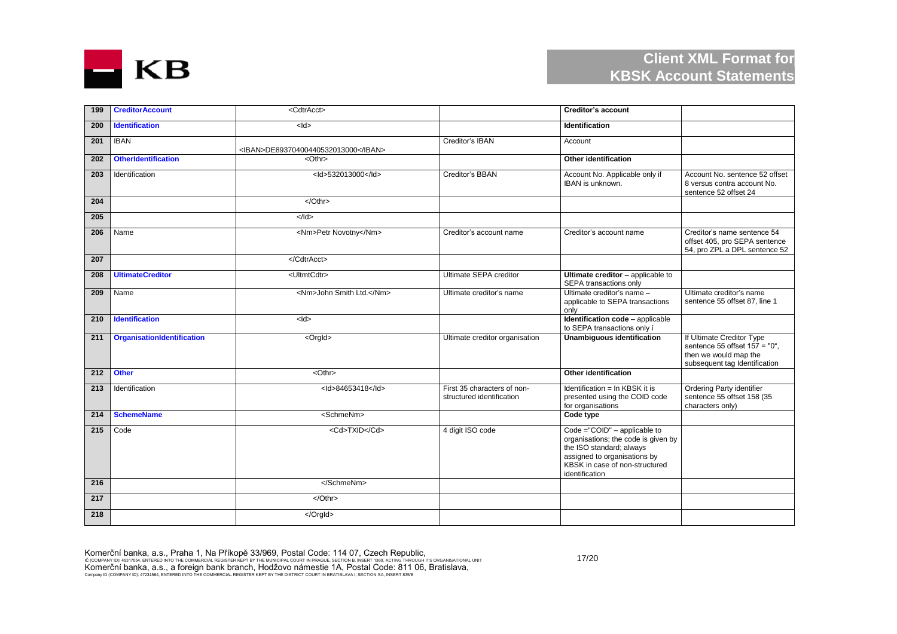

| 199 | <b>CreditorAccount</b>     | <cdtracct></cdtracct>               |                                                          | <b>Creditor's account</b>                                                                                                                                                           |                                                                                                                        |
|-----|----------------------------|-------------------------------------|----------------------------------------------------------|-------------------------------------------------------------------------------------------------------------------------------------------------------------------------------------|------------------------------------------------------------------------------------------------------------------------|
| 200 | <b>Identification</b>      | $<$ ld>                             |                                                          | <b>Identification</b>                                                                                                                                                               |                                                                                                                        |
| 201 | <b>IBAN</b>                | <iban>DE89370400440532013000</iban> | Creditor's IBAN                                          | Account                                                                                                                                                                             |                                                                                                                        |
| 202 | <b>OtherIdentification</b> | <othr></othr>                       |                                                          | Other identification                                                                                                                                                                |                                                                                                                        |
| 203 | Identification             | <ld>532013000</ld>                  | Creditor's BBAN                                          | Account No. Applicable only if<br>IBAN is unknown.                                                                                                                                  | Account No. sentence 52 offset<br>8 versus contra account No.<br>sentence 52 offset 24                                 |
| 204 |                            | $\sqrt{Oth}$                        |                                                          |                                                                                                                                                                                     |                                                                                                                        |
| 205 |                            | $\leq$ /Id>                         |                                                          |                                                                                                                                                                                     |                                                                                                                        |
| 206 | Name                       | <nm>Petr Novotny</nm>               | Creditor's account name                                  | Creditor's account name                                                                                                                                                             | Creditor's name sentence 54<br>offset 405, pro SEPA sentence<br>54, pro ZPL a DPL sentence 52                          |
| 207 |                            |                                     |                                                          |                                                                                                                                                                                     |                                                                                                                        |
| 208 | <b>UltimateCreditor</b>    | <ultmtcdtr></ultmtcdtr>             | Ultimate SEPA creditor                                   | Ultimate creditor - applicable to<br>SEPA transactions only                                                                                                                         |                                                                                                                        |
| 209 | Name                       | <nm>John Smith Ltd.</nm>            | Ultimate creditor's name                                 | Ultimate creditor's name -<br>applicable to SEPA transactions<br>only                                                                                                               | Ultimate creditor's name<br>sentence 55 offset 87, line 1                                                              |
| 210 | <b>Identification</b>      | $<$ ld $>$                          |                                                          | Identification code - applicable<br>to SEPA transactions only i                                                                                                                     |                                                                                                                        |
| 211 | OrganisationIdentification | <orgld></orgld>                     | Ultimate creditor organisation                           | Unambiguous identification                                                                                                                                                          | If Ultimate Creditor Type<br>sentence 55 offset $157 = "0",$<br>then we would map the<br>subsequent tag Identification |
| 212 | <b>Other</b>               | <othr></othr>                       |                                                          | <b>Other identification</b>                                                                                                                                                         |                                                                                                                        |
| 213 | Identification             | <ld>84653418</ld>                   | First 35 characters of non-<br>structured identification | Identification = In KBSK it is<br>presented using the COID code<br>for organisations                                                                                                | Ordering Party identifier<br>sentence 55 offset 158 (35<br>characters only)                                            |
| 214 | <b>SchemeName</b>          | <schmenm></schmenm>                 |                                                          | Code type                                                                                                                                                                           |                                                                                                                        |
| 215 | Code                       | <cd>TXID</cd>                       | 4 digit ISO code                                         | Code ="COID" - applicable to<br>organisations; the code is given by<br>the ISO standard; always<br>assigned to organisations by<br>KBSK in case of non-structured<br>identification |                                                                                                                        |
| 216 |                            |                                     |                                                          |                                                                                                                                                                                     |                                                                                                                        |
| 217 |                            |                                     |                                                          |                                                                                                                                                                                     |                                                                                                                        |
| 218 |                            |                                     |                                                          |                                                                                                                                                                                     |                                                                                                                        |

Komerční banka, a.s., Praha 1, Na Příkopě 33/969, Postal Code: 114 07, Czech Republic,<br>ič (company id): 45317054, entered into the commercial register kept by the municipal court in prague, section b, insert 1980, acting t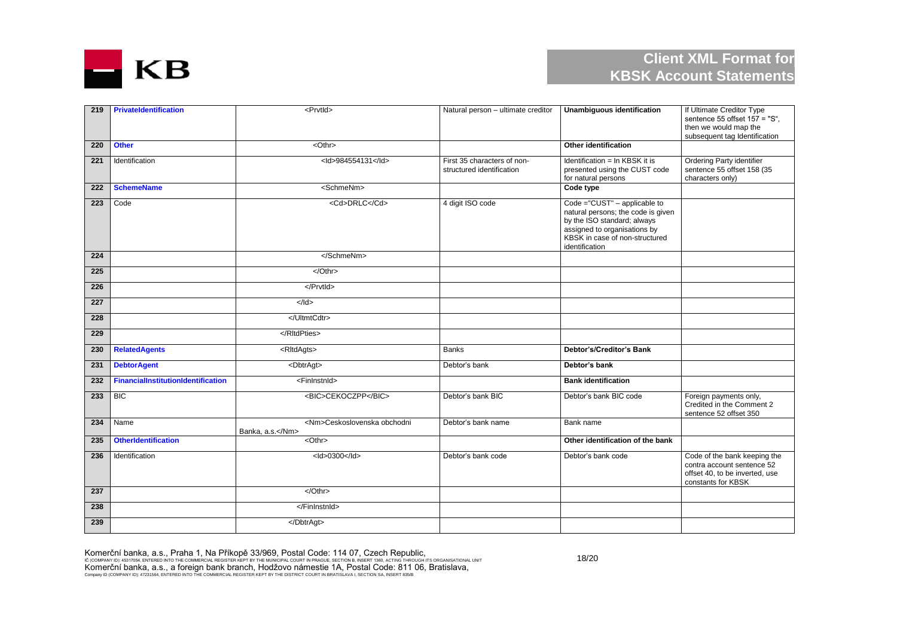

| 219              | PrivateIdentification                     | <prvtld></prvtld>                                | Natural person - ultimate creditor                       | <b>Unambiquous identification</b>                                                                                                                                                     | If Ultimate Creditor Type<br>sentence 55 offset $157 = "S",$<br>then we would map the<br>subsequent tag Identification |
|------------------|-------------------------------------------|--------------------------------------------------|----------------------------------------------------------|---------------------------------------------------------------------------------------------------------------------------------------------------------------------------------------|------------------------------------------------------------------------------------------------------------------------|
| 220              | <b>Other</b>                              | $<$ Othr $>$                                     |                                                          | Other identification                                                                                                                                                                  |                                                                                                                        |
| 221              | Identification                            | <ld>984554131</ld>                               | First 35 characters of non-<br>structured identification | Identification = In KBSK it is<br>presented using the CUST code<br>for natural persons                                                                                                | <b>Ordering Party identifier</b><br>sentence 55 offset 158 (35<br>characters only)                                     |
| 222              | <b>SchemeName</b>                         | <schmenm></schmenm>                              |                                                          | Code type                                                                                                                                                                             |                                                                                                                        |
| 223              | Code                                      | <cd>DRLC</cd>                                    | 4 digit ISO code                                         | Code ="CUST" - applicable to<br>natural persons; the code is given<br>by the ISO standard; always<br>assigned to organisations by<br>KBSK in case of non-structured<br>identification |                                                                                                                        |
| 224              |                                           |                                                  |                                                          |                                                                                                                                                                                       |                                                                                                                        |
| 225              |                                           | $<$ /Othr>                                       |                                                          |                                                                                                                                                                                       |                                                                                                                        |
| $\overline{226}$ |                                           |                                                  |                                                          |                                                                                                                                                                                       |                                                                                                                        |
| 227              |                                           | $\leq$ /Id>                                      |                                                          |                                                                                                                                                                                       |                                                                                                                        |
| 228              |                                           |                                                  |                                                          |                                                                                                                                                                                       |                                                                                                                        |
| 229              |                                           |                                                  |                                                          |                                                                                                                                                                                       |                                                                                                                        |
| 230              | <b>RelatedAgents</b>                      | <rltdagts></rltdagts>                            | <b>Banks</b>                                             | Debtor's/Creditor's Bank                                                                                                                                                              |                                                                                                                        |
| 231              | <b>DebtorAgent</b>                        | <dbtragt></dbtragt>                              | Debtor's bank                                            | Debtor's bank                                                                                                                                                                         |                                                                                                                        |
| 232              | <b>FinancialInstitutionIdentification</b> | <fininstnid></fininstnid>                        |                                                          | <b>Bank identification</b>                                                                                                                                                            |                                                                                                                        |
| 233              | <b>BIC</b>                                | <bic>CEKOCZPP</bic>                              | Debtor's bank BIC                                        | Debtor's bank BIC code                                                                                                                                                                | Foreign payments only,<br>Credited in the Comment 2<br>sentence 52 offset 350                                          |
| 234              | Name                                      | <nm>Ceskoslovenska obchodni<br/>Banka, a.s.</nm> | Debtor's bank name                                       | Bank name                                                                                                                                                                             |                                                                                                                        |
| 235              | <b>OtherIdentification</b>                | $<$ Othr $>$                                     |                                                          | Other identification of the bank                                                                                                                                                      |                                                                                                                        |
| 236              | Identification                            | <ld>0300</ld>                                    | Debtor's bank code                                       | Debtor's bank code                                                                                                                                                                    | Code of the bank keeping the<br>contra account sentence 52<br>offset 40, to be inverted, use<br>constants for KBSK     |
| 237              |                                           | $\sqrt{Othr}$                                    |                                                          |                                                                                                                                                                                       |                                                                                                                        |
| 238              |                                           |                                                  |                                                          |                                                                                                                                                                                       |                                                                                                                        |
| 239              |                                           |                                                  |                                                          |                                                                                                                                                                                       |                                                                                                                        |

Komerční banka, a.s., Praha 1, Na Příkopě 33/969, Postal Code: 114 07, Czech Republic,<br>ič (company id): 45317054, entered into the commercial register kept by the municipal court in prague, section b, insert 1980, acting t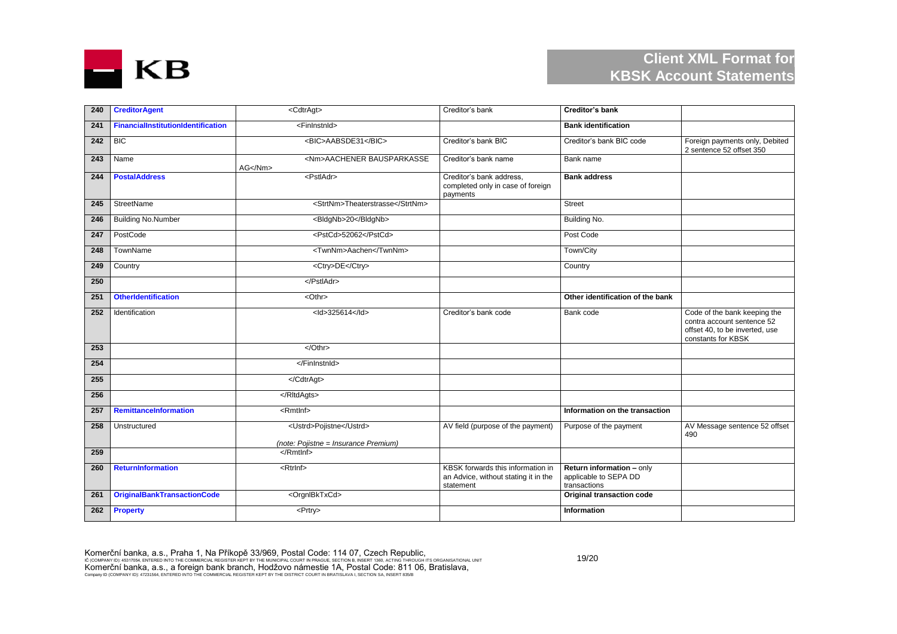

| 240 | <b>CreditorAgent</b>                      | <cdtragt></cdtragt>                                             | Creditor's bank                                                                        | <b>Creditor's bank</b>                                             |                                                                                                                    |
|-----|-------------------------------------------|-----------------------------------------------------------------|----------------------------------------------------------------------------------------|--------------------------------------------------------------------|--------------------------------------------------------------------------------------------------------------------|
| 241 | <b>FinancialInstitutionIdentification</b> | <fininstnid></fininstnid>                                       |                                                                                        | <b>Bank identification</b>                                         |                                                                                                                    |
| 242 | <b>BIC</b>                                | <bic>AABSDE31</bic>                                             | Creditor's bank BIC                                                                    | Creditor's bank BIC code                                           | Foreign payments only, Debited<br>2 sentence 52 offset 350                                                         |
| 243 | Name                                      | <nm>AACHENER BAUSPARKASSE<br/>AG &lt; /Nm</nm>                  | Creditor's bank name                                                                   | Bank name                                                          |                                                                                                                    |
| 244 | <b>PostalAddress</b>                      | <pstladr></pstladr>                                             | Creditor's bank address,<br>completed only in case of foreign<br>payments              | <b>Bank address</b>                                                |                                                                                                                    |
| 245 | StreetName                                | <strtnm>Theaterstrasse</strtnm>                                 |                                                                                        | Street                                                             |                                                                                                                    |
| 246 | <b>Building No.Number</b>                 | <bldgnb>20</bldgnb>                                             |                                                                                        | Building No.                                                       |                                                                                                                    |
| 247 | PostCode                                  | <pstcd>52062</pstcd>                                            |                                                                                        | Post Code                                                          |                                                                                                                    |
| 248 | TownName                                  | <twnnm>Aachen</twnnm>                                           |                                                                                        | Town/City                                                          |                                                                                                                    |
| 249 | Country                                   | <ctry>DE</ctry>                                                 |                                                                                        | Country                                                            |                                                                                                                    |
| 250 |                                           |                                                                 |                                                                                        |                                                                    |                                                                                                                    |
| 251 | <b>OtherIdentification</b>                | <othr></othr>                                                   |                                                                                        | Other identification of the bank                                   |                                                                                                                    |
| 252 | Identification                            | <ld>325614</ld>                                                 | Creditor's bank code                                                                   | Bank code                                                          | Code of the bank keeping the<br>contra account sentence 52<br>offset 40, to be inverted, use<br>constants for KBSK |
| 253 |                                           | $\sqrt{Othr}$                                                   |                                                                                        |                                                                    |                                                                                                                    |
| 254 |                                           |                                                                 |                                                                                        |                                                                    |                                                                                                                    |
| 255 |                                           |                                                                 |                                                                                        |                                                                    |                                                                                                                    |
| 256 |                                           |                                                                 |                                                                                        |                                                                    |                                                                                                                    |
| 257 | <b>RemittanceInformation</b>              | $\overline{\mathsf{R}}$ mtlnf>                                  |                                                                                        | Information on the transaction                                     |                                                                                                                    |
| 258 | Unstructured                              | <ustrd>Pojistne</ustrd><br>(note: Pojistne = Insurance Premium) | AV field (purpose of the payment)                                                      | Purpose of the payment                                             | AV Message sentence 52 offset<br>490                                                                               |
| 259 |                                           | $\leq$ Rmtlnf>                                                  |                                                                                        |                                                                    |                                                                                                                    |
| 260 | <b>ReturnInformation</b>                  | <rtrlnf></rtrlnf>                                               | KBSK forwards this information in<br>an Advice, without stating it in the<br>statement | Return information - only<br>applicable to SEPA DD<br>transactions |                                                                                                                    |
| 261 | <b>OriginalBankTransactionCode</b>        | <orgnibktxcd></orgnibktxcd>                                     |                                                                                        | Original transaction code                                          |                                                                                                                    |
| 262 | <b>Property</b>                           | <prtry></prtry>                                                 |                                                                                        | Information                                                        |                                                                                                                    |

Komerční banka, a.s., Praha 1, Na Příkopě 33/969, Postal Code: 114 07, Czech Republic,<br>ič (company id): 45317054, entered into the commercial register kept by the municipal court in prague, section b, insert 1980, acting t